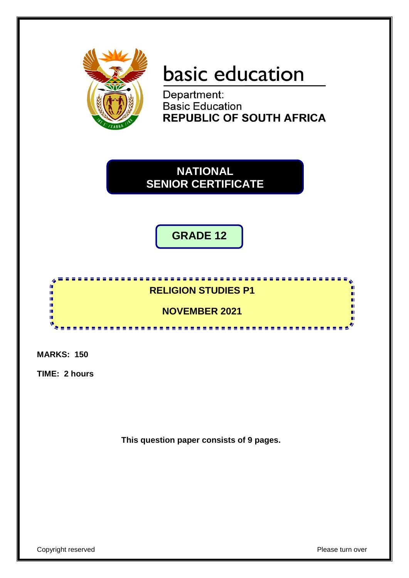

# basic education

Department: **Basic Education REPUBLIC OF SOUTH AFRICA** 

**NATIONAL SENIOR CERTIFICATE SENIOR CERTIFICATE NATIONAL**

**GRADE 12**



**MARKS: 150**

**TIME: 2 hours**

**This question paper consists of 9 pages.**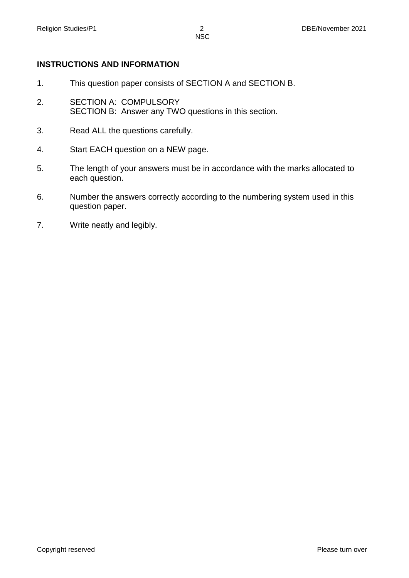#### **INSTRUCTIONS AND INFORMATION**

- 1. This question paper consists of SECTION A and SECTION B.
- 2. SECTION A: COMPULSORY SECTION B: Answer any TWO questions in this section.
- 3. Read ALL the questions carefully.
- 4. Start EACH question on a NEW page.
- 5. The length of your answers must be in accordance with the marks allocated to each question.
- 6. Number the answers correctly according to the numbering system used in this question paper.
- 7. Write neatly and legibly.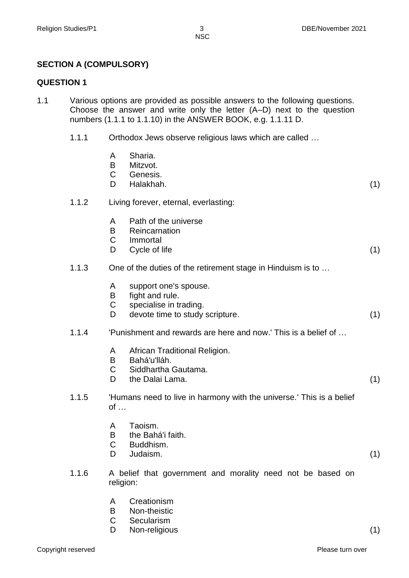## **SECTION A (COMPULSORY)**

#### **QUESTION 1**

- 1.1 Various options are provided as possible answers to the following questions. Choose the answer and write only the letter (A–D) next to the question numbers (1.1.1 to 1.1.10) in the ANSWER BOOK, e.g. 1.1.11 D.
	- 1.1.1 Orthodox Jews observe religious laws which are called …
		- A Sharia.<br>B Mitzvot.
		- Mitzvot.
		- C Genesis.
		- D Halakhah. (1)
	- 1.1.2 Living forever, eternal, everlasting:
		- A Path of the universe
		- B Reincarnation
		- C Immortal
		- D Cycle of life (1)
	- 1.1.3 One of the duties of the retirement stage in Hinduism is to …
		- A support one's spouse.
		- B fight and rule.
		- C specialise in trading.
		- D devote time to study scripture. (1)
	- 1.1.4 'Punishment and rewards are here and now.' This is a belief of …
		- A African Traditional Religion.
		- B Bahá'u'lláh.
		- C Siddhartha Gautama.
		- D the Dalai Lama. (1)
	- 1.1.5 'Humans need to live in harmony with the universe.' This is a belief of …
		- A Taoism.
		- B the Bahá'i faith.
		- C Buddhism.
		- D Judaism. (1)
	- 1.1.6 A belief that government and morality need not be based on religion:
		- A Creationism
		- B Non-theistic
		- C Secularism
		- D Non-religious (1)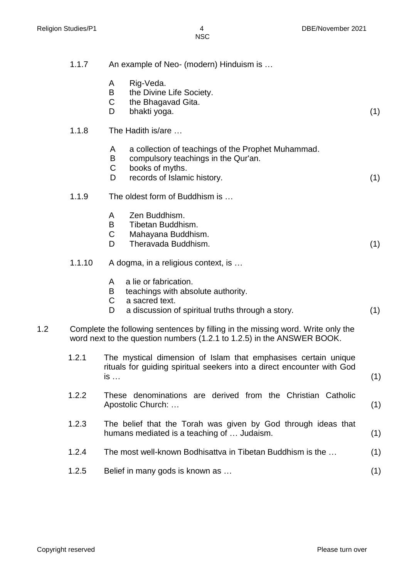|     | 1.1.7  | An example of Neo- (modern) Hinduism is                                                                                                                          |     |
|-----|--------|------------------------------------------------------------------------------------------------------------------------------------------------------------------|-----|
|     |        | Rig-Veda.<br>A<br>B<br>the Divine Life Society.<br>C<br>the Bhagavad Gita.<br>D<br>bhakti yoga.                                                                  | (1) |
|     | 1.1.8  | The Hadith is/are                                                                                                                                                |     |
|     |        | a collection of teachings of the Prophet Muhammad.<br>A<br>B<br>compulsory teachings in the Qur'an.<br>books of myths.<br>C<br>records of Islamic history.<br>D  | (1) |
|     | 1.1.9  | The oldest form of Buddhism is                                                                                                                                   |     |
|     |        | Zen Buddhism.<br>A<br>B<br>Tibetan Buddhism.<br>C<br>Mahayana Buddhism.<br>D<br>Theravada Buddhism.                                                              | (1) |
|     | 1.1.10 | A dogma, in a religious context, is                                                                                                                              |     |
|     |        | a lie or fabrication.<br>A<br>teachings with absolute authority.<br>B<br>$\mathsf C$<br>a sacred text.<br>a discussion of spiritual truths through a story.<br>D | (1) |
| 1.2 |        | Complete the following sentences by filling in the missing word. Write only the<br>word next to the question numbers (1.2.1 to 1.2.5) in the ANSWER BOOK.        |     |
|     | 1.2.1  | The mystical dimension of Islam that emphasises certain unique<br>rituals for guiding spiritual seekers into a direct encounter with God<br>$is \dots$           | (1) |
|     | 1.2.2  | These denominations are derived from the Christian Catholic<br>Apostolic Church:                                                                                 | (1) |
|     | 1.2.3  | The belief that the Torah was given by God through ideas that<br>humans mediated is a teaching of  Judaism.                                                      | (1) |
|     | 1.2.4  | The most well-known Bodhisattva in Tibetan Buddhism is the                                                                                                       | (1) |
|     | 1.2.5  | Belief in many gods is known as                                                                                                                                  | (1) |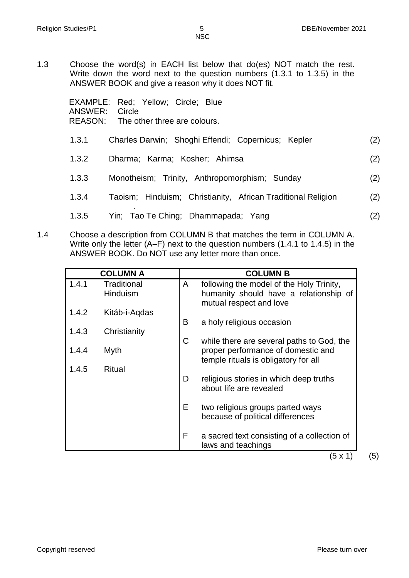1.3 Choose the word(s) in EACH list below that do(es) NOT match the rest. Write down the word next to the question numbers (1.3.1 to 1.3.5) in the ANSWER BOOK and give a reason why it does NOT fit.

| EXAMPLE: Red: Yellow; Circle; Blue<br>ANSWER:<br>Circle<br>REASON: The other three are colours. |                                                              |     |
|-------------------------------------------------------------------------------------------------|--------------------------------------------------------------|-----|
| 1.3.1                                                                                           | Charles Darwin; Shoghi Effendi; Copernicus; Kepler           | (2) |
| 1.3.2                                                                                           | Dharma: Karma: Kosher: Ahimsa                                | (2) |
| 1.3.3                                                                                           | Monotheism; Trinity, Anthropomorphism; Sunday                | (2) |
| 1.3.4                                                                                           | Taoism; Hinduism; Christianity, African Traditional Religion | (2) |
| 1.3.5                                                                                           | Yin; Tao Te Ching; Dhammapada; Yang                          | (2) |

1.4 Choose a description from COLUMN B that matches the term in COLUMN A. Write only the letter (A–F) next to the question numbers (1.4.1 to 1.4.5) in the ANSWER BOOK. Do NOT use any letter more than once.

|       | <b>COLUMN A</b> |    | <b>COLUMN B</b>                                                   |
|-------|-----------------|----|-------------------------------------------------------------------|
| 1.4.1 | Traditional     | A  | following the model of the Holy Trinity,                          |
|       | <b>Hinduism</b> |    | humanity should have a relationship of                            |
|       |                 |    | mutual respect and love                                           |
| 1.4.2 | Kitáb-i-Aqdas   |    |                                                                   |
|       |                 | B  | a holy religious occasion                                         |
| 1.4.3 | Christianity    |    |                                                                   |
|       |                 | C  | while there are several paths to God, the                         |
| 1.4.4 | Myth            |    | proper performance of domestic and                                |
|       |                 |    | temple rituals is obligatory for all                              |
| 1.4.5 | <b>Ritual</b>   | D  |                                                                   |
|       |                 |    | religious stories in which deep truths<br>about life are revealed |
|       |                 |    |                                                                   |
|       |                 | E. | two religious groups parted ways                                  |
|       |                 |    | because of political differences                                  |
|       |                 |    |                                                                   |
|       |                 | F  | a sacred text consisting of a collection of                       |
|       |                 |    | laws and teachings                                                |

 $(5 \times 1)$  (5)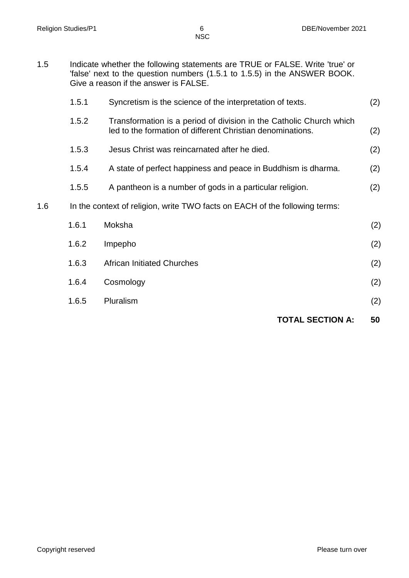1.5 Indicate whether the following statements are TRUE or FALSE. Write 'true' or 'false' next to the question numbers (1.5.1 to 1.5.5) in the ANSWER BOOK. Give a reason if the answer is FALSE.

|     |                                                                             |                                                                                                                                   | <b>TOTAL SECTION A:</b> | 50  |
|-----|-----------------------------------------------------------------------------|-----------------------------------------------------------------------------------------------------------------------------------|-------------------------|-----|
|     | 1.6.5                                                                       | Pluralism                                                                                                                         |                         | (2) |
|     | 1.6.4                                                                       | Cosmology                                                                                                                         |                         | (2) |
|     | 1.6.3                                                                       | <b>African Initiated Churches</b>                                                                                                 |                         | (2) |
|     | 1.6.2                                                                       | Impepho                                                                                                                           |                         | (2) |
|     | 1.6.1                                                                       | Moksha                                                                                                                            |                         | (2) |
| 1.6 | In the context of religion, write TWO facts on EACH of the following terms: |                                                                                                                                   |                         |     |
|     | 1.5.5                                                                       | A pantheon is a number of gods in a particular religion.                                                                          |                         | (2) |
|     | 1.5.4                                                                       | A state of perfect happiness and peace in Buddhism is dharma.                                                                     |                         | (2) |
|     | 1.5.3                                                                       | Jesus Christ was reincarnated after he died.                                                                                      |                         | (2) |
|     | 1.5.2                                                                       | Transformation is a period of division in the Catholic Church which<br>led to the formation of different Christian denominations. |                         | (2) |
|     | 1.5.1                                                                       | Syncretism is the science of the interpretation of texts.                                                                         |                         | (2) |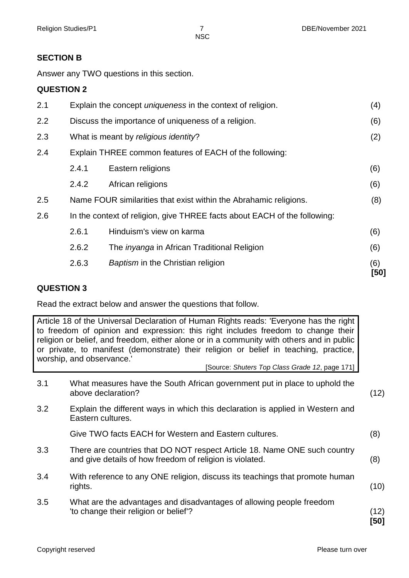## **SECTION B**

Answer any TWO questions in this section.

### **QUESTION 2**

|     | 2.6.3                                                             | Baptism in the Christian religion                                         | (6)<br>[50] |  |
|-----|-------------------------------------------------------------------|---------------------------------------------------------------------------|-------------|--|
|     | 2.6.2                                                             | The <i>inyanga</i> in African Traditional Religion                        | (6)         |  |
|     | 2.6.1                                                             | Hinduism's view on karma                                                  | (6)         |  |
| 2.6 |                                                                   | In the context of religion, give THREE facts about EACH of the following: |             |  |
| 2.5 |                                                                   | Name FOUR similarities that exist within the Abrahamic religions.         | (8)         |  |
|     | 2.4.2                                                             | African religions                                                         | (6)         |  |
|     | 2.4.1                                                             | Eastern religions                                                         | (6)         |  |
| 2.4 | Explain THREE common features of EACH of the following:           |                                                                           |             |  |
| 2.3 |                                                                   | What is meant by religious identity?                                      |             |  |
| 2.2 |                                                                   | Discuss the importance of uniqueness of a religion.                       |             |  |
| 2.1 | Explain the concept <i>uniqueness</i> in the context of religion. |                                                                           |             |  |

#### **QUESTION 3**

Read the extract below and answer the questions that follow.

Article 18 of the Universal Declaration of Human Rights reads: 'Everyone has the right to freedom of opinion and expression: this right includes freedom to change their religion or belief, and freedom, either alone or in a community with others and in public or private, to manifest (demonstrate) their religion or belief in teaching, practice, worship, and observance.'

[Source: *Shuters Top Class Grade 12*, page 171]

| 3.1 | What measures have the South African government put in place to uphold the<br>above declaration?                                      | (12)         |
|-----|---------------------------------------------------------------------------------------------------------------------------------------|--------------|
| 3.2 | Explain the different ways in which this declaration is applied in Western and<br>Eastern cultures.                                   |              |
|     | Give TWO facts EACH for Western and Eastern cultures.                                                                                 | (8)          |
| 3.3 | There are countries that DO NOT respect Article 18. Name ONE such country<br>and give details of how freedom of religion is violated. | (8)          |
| 3.4 | With reference to any ONE religion, discuss its teachings that promote human<br>rights.                                               | (10)         |
| 3.5 | What are the advantages and disadvantages of allowing people freedom<br>'to change their religion or belief'?                         | (12)<br>[50] |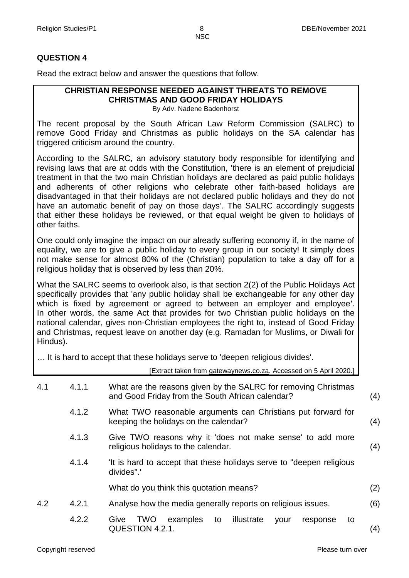#### **QUESTION 4**

Read the extract below and answer the questions that follow.

# **CHRISTIAN RESPONSE NEEDED AGAINST THREATS TO REMOVE CHRISTMAS AND GOOD FRIDAY HOLIDAYS**

By Adv. Nadene Badenhorst

The recent proposal by the South African Law Reform Commission (SALRC) to remove Good Friday and Christmas as public holidays on the SA calendar has triggered criticism around the country.

According to the SALRC, an advisory statutory body responsible for identifying and revising laws that are at odds with the Constitution, 'there is an element of prejudicial treatment in that the two main Christian holidays are declared as paid public holidays and adherents of other religions who celebrate other faith-based holidays are disadvantaged in that their holidays are not declared public holidays and they do not have an automatic benefit of pay on those days'. The SALRC accordingly suggests that either these holidays be reviewed, or that equal weight be given to holidays of other faiths.

One could only imagine the impact on our already suffering economy if, in the name of equality, we are to give a public holiday to every group in our society! It simply does not make sense for almost 80% of the (Christian) population to take a day off for a religious holiday that is observed by less than 20%.

What the SALRC seems to overlook also, is that section 2(2) of the Public Holidays Act specifically provides that 'any public holiday shall be exchangeable for any other day which is fixed by agreement or agreed to between an employer and employee'. In other words, the same Act that provides for two Christian public holidays on the national calendar, gives non-Christian employees the right to, instead of Good Friday and Christmas, request leave on another day (e.g. Ramadan for Muslims, or Diwali for Hindus).

… It is hard to accept that these holidays serve to 'deepen religious divides'.

|     |       | [Extract taken from gatewaynews.co.za. Accessed on 5 April 2020.]                                                  |     |
|-----|-------|--------------------------------------------------------------------------------------------------------------------|-----|
| 4.1 | 4.1.1 | What are the reasons given by the SALRC for removing Christmas<br>and Good Friday from the South African calendar? | (4) |
|     | 4.1.2 | What TWO reasonable arguments can Christians put forward for<br>keeping the holidays on the calendar?              | (4) |
|     | 4.1.3 | Give TWO reasons why it 'does not make sense' to add more<br>religious holidays to the calendar.                   | (4) |
|     | 4.1.4 | 'It is hard to accept that these holidays serve to "deepen religious"<br>divides".                                 |     |
|     |       | What do you think this quotation means?                                                                            | (2) |
| 4.2 | 4.2.1 | Analyse how the media generally reports on religious issues.                                                       | (6) |
|     | 4.2.2 | examples<br><b>TWO</b><br>illustrate<br>Give<br>to<br>to<br>your<br>response<br>QUESTION 4.2.1.                    | (4) |